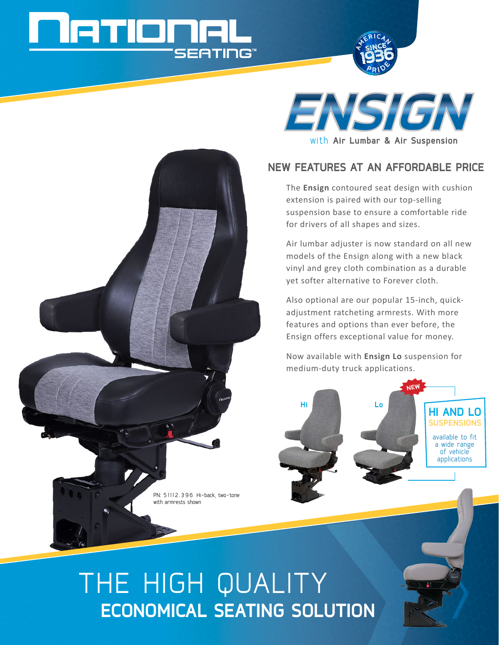# **SEATING**



## **New features at an affordable price**

The **Ensign** contoured seat design with cushion extension is paired with our top-selling suspension base to ensure a comfortable ride for drivers of all shapes and sizes.

Air lumbar adjuster is now standard on all new models of the Ensign along with a new black vinyl and grey cloth combination as a durable yet softer alternative to Forever cloth.

Also optional are our popular 15-inch, quickadjustment ratcheting armrests. With more features and options than ever before, the Ensign offers exceptional value for money.

Now available with **Ensign Lo** suspension for medium-duty truck applications.



# The HIGH QUALITY **ECONOMICal SEATING SOLUTION**

PN: 51112.396 Hi-back, two-tone

with armrests shown